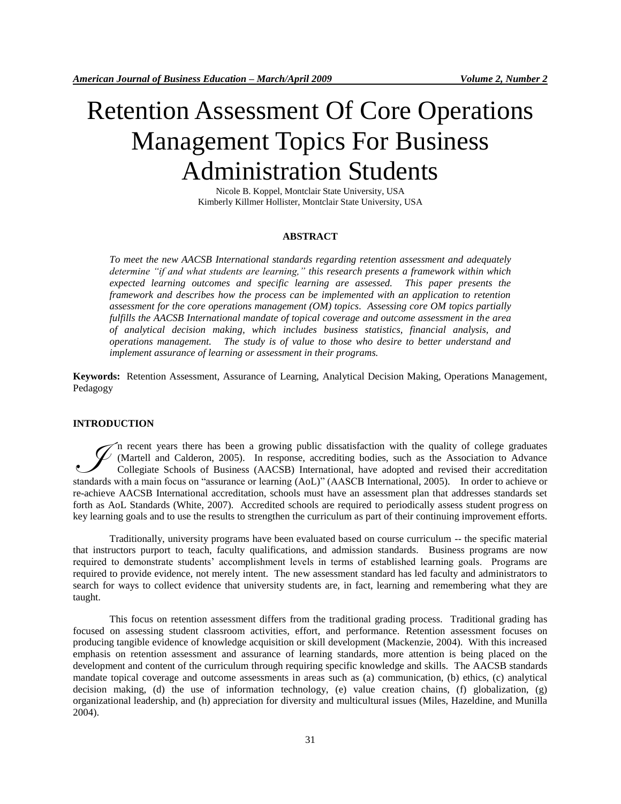# Retention Assessment Of Core Operations Management Topics For Business Administration Students

Nicole B. Koppel, Montclair State University, USA Kimberly Killmer Hollister, Montclair State University, USA

# **ABSTRACT**

*To meet the new AACSB International standards regarding retention assessment and adequately determine "if and what students are learning," this research presents a framework within which expected learning outcomes and specific learning are assessed. This paper presents the framework and describes how the process can be implemented with an application to retention assessment for the core operations management (OM) topics. Assessing core OM topics partially fulfills the AACSB International mandate of topical coverage and outcome assessment in the area of analytical decision making, which includes business statistics, financial analysis, and operations management. The study is of value to those who desire to better understand and implement assurance of learning or assessment in their programs.*

**Keywords:** Retention Assessment, Assurance of Learning, Analytical Decision Making, Operations Management, Pedagogy

#### **INTRODUCTION**

n recent years there has been a growing public dissatisfaction with the quality of college graduates (Martell and Calderon, 2005). In response, accrediting bodies, such as the Association to Advance Collegiate Schools of Business (AACSB) International, have adopted and revised their accreditation The recent years there has been a growing public dissatisfaction with the quality of college graduates (Martell and Calderon, 2005). In response, accrediting bodies, such as the Association to Advance Collegiate Schools of re-achieve AACSB International accreditation, schools must have an assessment plan that addresses standards set forth as AoL Standards (White, 2007). Accredited schools are required to periodically assess student progress on key learning goals and to use the results to strengthen the curriculum as part of their continuing improvement efforts.

Traditionally, university programs have been evaluated based on course curriculum -- the specific material that instructors purport to teach, faculty qualifications, and admission standards. Business programs are now required to demonstrate students' accomplishment levels in terms of established learning goals. Programs are required to provide evidence, not merely intent. The new assessment standard has led faculty and administrators to search for ways to collect evidence that university students are, in fact, learning and remembering what they are taught.

This focus on retention assessment differs from the traditional grading process. Traditional grading has focused on assessing student classroom activities, effort, and performance. Retention assessment focuses on producing tangible evidence of knowledge acquisition or skill development (Mackenzie, 2004). With this increased emphasis on retention assessment and assurance of learning standards, more attention is being placed on the development and content of the curriculum through requiring specific knowledge and skills. The AACSB standards mandate topical coverage and outcome assessments in areas such as (a) communication, (b) ethics, (c) analytical decision making, (d) the use of information technology, (e) value creation chains, (f) globalization, (g) organizational leadership, and (h) appreciation for diversity and multicultural issues (Miles, Hazeldine, and Munilla 2004).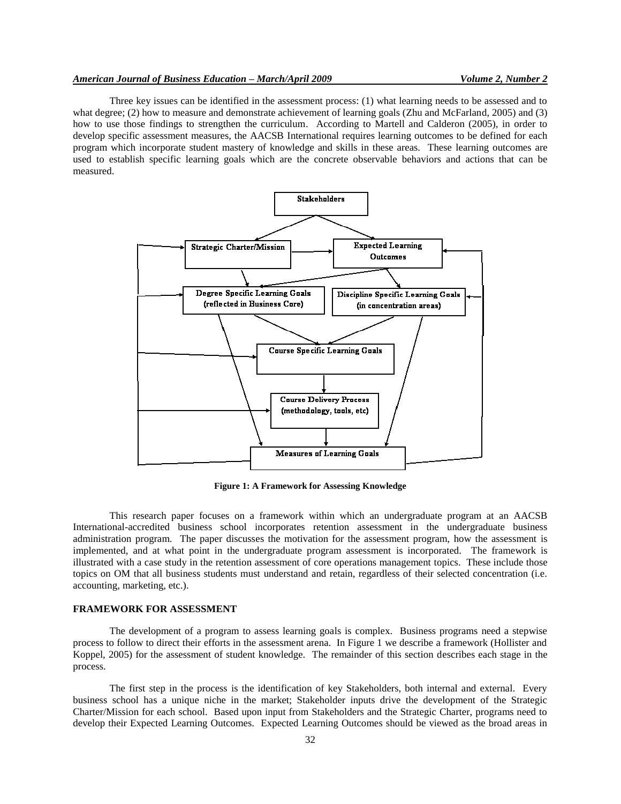# *American Journal of Business Education – March/April 2009 Volume 2, Number 2*

Three key issues can be identified in the assessment process: (1) what learning needs to be assessed and to what degree; (2) how to measure and demonstrate achievement of learning goals (Zhu and McFarland, 2005) and (3) how to use those findings to strengthen the curriculum. According to Martell and Calderon (2005), in order to develop specific assessment measures, the AACSB International requires learning outcomes to be defined for each program which incorporate student mastery of knowledge and skills in these areas. These learning outcomes are used to establish specific learning goals which are the concrete observable behaviors and actions that can be measured.



**Figure 1: A Framework for Assessing Knowledge**

This research paper focuses on a framework within which an undergraduate program at an AACSB International-accredited business school incorporates retention assessment in the undergraduate business administration program. The paper discusses the motivation for the assessment program, how the assessment is implemented, and at what point in the undergraduate program assessment is incorporated. The framework is illustrated with a case study in the retention assessment of core operations management topics. These include those topics on OM that all business students must understand and retain, regardless of their selected concentration (i.e. accounting, marketing, etc.).

#### **FRAMEWORK FOR ASSESSMENT**

The development of a program to assess learning goals is complex. Business programs need a stepwise process to follow to direct their efforts in the assessment arena. In Figure 1 we describe a framework (Hollister and Koppel, 2005) for the assessment of student knowledge. The remainder of this section describes each stage in the process.

The first step in the process is the identification of key Stakeholders, both internal and external. Every business school has a unique niche in the market; Stakeholder inputs drive the development of the Strategic Charter/Mission for each school. Based upon input from Stakeholders and the Strategic Charter, programs need to develop their Expected Learning Outcomes. Expected Learning Outcomes should be viewed as the broad areas in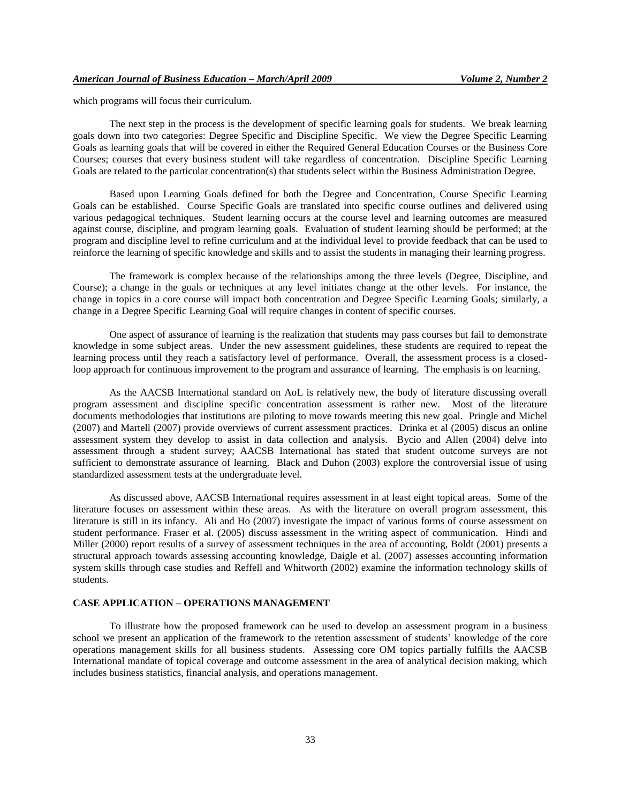which programs will focus their curriculum.

The next step in the process is the development of specific learning goals for students. We break learning goals down into two categories: Degree Specific and Discipline Specific. We view the Degree Specific Learning Goals as learning goals that will be covered in either the Required General Education Courses or the Business Core Courses; courses that every business student will take regardless of concentration. Discipline Specific Learning Goals are related to the particular concentration(s) that students select within the Business Administration Degree.

Based upon Learning Goals defined for both the Degree and Concentration, Course Specific Learning Goals can be established. Course Specific Goals are translated into specific course outlines and delivered using various pedagogical techniques. Student learning occurs at the course level and learning outcomes are measured against course, discipline, and program learning goals. Evaluation of student learning should be performed; at the program and discipline level to refine curriculum and at the individual level to provide feedback that can be used to reinforce the learning of specific knowledge and skills and to assist the students in managing their learning progress.

The framework is complex because of the relationships among the three levels (Degree, Discipline, and Course); a change in the goals or techniques at any level initiates change at the other levels. For instance, the change in topics in a core course will impact both concentration and Degree Specific Learning Goals; similarly, a change in a Degree Specific Learning Goal will require changes in content of specific courses.

One aspect of assurance of learning is the realization that students may pass courses but fail to demonstrate knowledge in some subject areas. Under the new assessment guidelines, these students are required to repeat the learning process until they reach a satisfactory level of performance. Overall, the assessment process is a closedloop approach for continuous improvement to the program and assurance of learning. The emphasis is on learning.

As the AACSB International standard on AoL is relatively new, the body of literature discussing overall program assessment and discipline specific concentration assessment is rather new. Most of the literature documents methodologies that institutions are piloting to move towards meeting this new goal. Pringle and Michel (2007) and Martell (2007) provide overviews of current assessment practices. Drinka et al (2005) discus an online assessment system they develop to assist in data collection and analysis. Bycio and Allen (2004) delve into assessment through a student survey; AACSB International has stated that student outcome surveys are not sufficient to demonstrate assurance of learning. Black and Duhon (2003) explore the controversial issue of using standardized assessment tests at the undergraduate level.

As discussed above, AACSB International requires assessment in at least eight topical areas. Some of the literature focuses on assessment within these areas. As with the literature on overall program assessment, this literature is still in its infancy. Ali and Ho (2007) investigate the impact of various forms of course assessment on student performance. Fraser et al. (2005) discuss assessment in the writing aspect of communication. Hindi and Miller (2000) report results of a survey of assessment techniques in the area of accounting, Boldt (2001) presents a structural approach towards assessing accounting knowledge, Daigle et al. (2007) assesses accounting information system skills through case studies and Reffell and Whitworth (2002) examine the information technology skills of students.

# **CASE APPLICATION – OPERATIONS MANAGEMENT**

To illustrate how the proposed framework can be used to develop an assessment program in a business school we present an application of the framework to the retention assessment of students' knowledge of the core operations management skills for all business students. Assessing core OM topics partially fulfills the AACSB International mandate of topical coverage and outcome assessment in the area of analytical decision making, which includes business statistics, financial analysis, and operations management.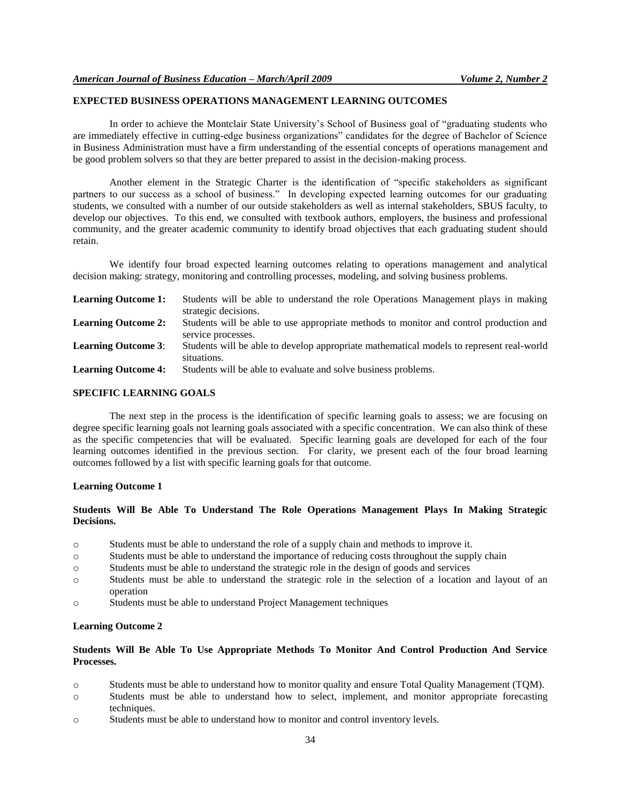# **EXPECTED BUSINESS OPERATIONS MANAGEMENT LEARNING OUTCOMES**

In order to achieve the Montclair State University's School of Business goal of "graduating students who are immediately effective in cutting-edge business organizations" candidates for the degree of Bachelor of Science in Business Administration must have a firm understanding of the essential concepts of operations management and be good problem solvers so that they are better prepared to assist in the decision-making process.

Another element in the Strategic Charter is the identification of "specific stakeholders as significant partners to our success as a school of business." In developing expected learning outcomes for our graduating students, we consulted with a number of our outside stakeholders as well as internal stakeholders, SBUS faculty, to develop our objectives. To this end, we consulted with textbook authors, employers, the business and professional community, and the greater academic community to identify broad objectives that each graduating student should retain.

We identify four broad expected learning outcomes relating to operations management and analytical decision making: strategy, monitoring and controlling processes, modeling, and solving business problems.

| <b>Learning Outcome 1:</b> | Students will be able to understand the role Operations Management plays in making<br>strategic decisions. |
|----------------------------|------------------------------------------------------------------------------------------------------------|
| <b>Learning Outcome 2:</b> | Students will be able to use appropriate methods to monitor and control production and                     |
|                            | service processes.                                                                                         |
| <b>Learning Outcome 3:</b> | Students will be able to develop appropriate mathematical models to represent real-world<br>situations.    |
| <b>Learning Outcome 4:</b> | Students will be able to evaluate and solve business problems.                                             |

#### **SPECIFIC LEARNING GOALS**

The next step in the process is the identification of specific learning goals to assess; we are focusing on degree specific learning goals not learning goals associated with a specific concentration. We can also think of these as the specific competencies that will be evaluated. Specific learning goals are developed for each of the four learning outcomes identified in the previous section. For clarity, we present each of the four broad learning outcomes followed by a list with specific learning goals for that outcome.

### **Learning Outcome 1**

# **Students Will Be Able To Understand The Role Operations Management Plays In Making Strategic Decisions.**

- o Students must be able to understand the role of a supply chain and methods to improve it.
- o Students must be able to understand the importance of reducing costs throughout the supply chain
- o Students must be able to understand the strategic role in the design of goods and services
- o Students must be able to understand the strategic role in the selection of a location and layout of an operation
- o Students must be able to understand Project Management techniques

### **Learning Outcome 2**

# **Students Will Be Able To Use Appropriate Methods To Monitor And Control Production And Service Processes.**

- o Students must be able to understand how to monitor quality and ensure Total Quality Management (TQM).
- o Students must be able to understand how to select, implement, and monitor appropriate forecasting techniques.
- o Students must be able to understand how to monitor and control inventory levels.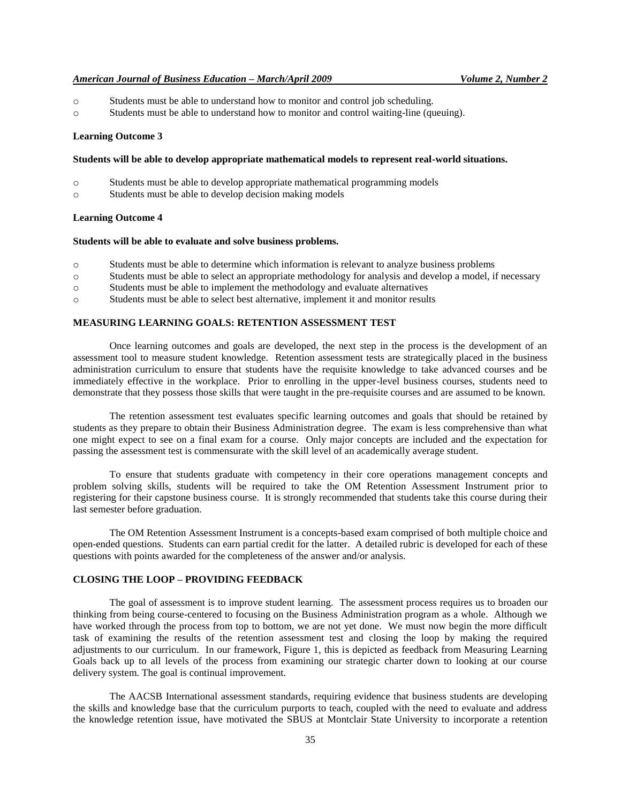### *American Journal of Business Education – March/April 2009 Volume 2, Number 2*

- o Students must be able to understand how to monitor and control job scheduling.
- o Students must be able to understand how to monitor and control waiting-line (queuing).

#### **Learning Outcome 3**

#### **Students will be able to develop appropriate mathematical models to represent real-world situations.**

- o Students must be able to develop appropriate mathematical programming models
- o Students must be able to develop decision making models

# **Learning Outcome 4**

#### **Students will be able to evaluate and solve business problems.**

- o Students must be able to determine which information is relevant to analyze business problems
- o Students must be able to select an appropriate methodology for analysis and develop a model, if necessary
- o Students must be able to implement the methodology and evaluate alternatives
- o Students must be able to select best alternative, implement it and monitor results

## **MEASURING LEARNING GOALS: RETENTION ASSESSMENT TEST**

Once learning outcomes and goals are developed, the next step in the process is the development of an assessment tool to measure student knowledge. Retention assessment tests are strategically placed in the business administration curriculum to ensure that students have the requisite knowledge to take advanced courses and be immediately effective in the workplace. Prior to enrolling in the upper-level business courses, students need to demonstrate that they possess those skills that were taught in the pre-requisite courses and are assumed to be known.

The retention assessment test evaluates specific learning outcomes and goals that should be retained by students as they prepare to obtain their Business Administration degree. The exam is less comprehensive than what one might expect to see on a final exam for a course. Only major concepts are included and the expectation for passing the assessment test is commensurate with the skill level of an academically average student.

To ensure that students graduate with competency in their core operations management concepts and problem solving skills, students will be required to take the OM Retention Assessment Instrument prior to registering for their capstone business course. It is strongly recommended that students take this course during their last semester before graduation.

The OM Retention Assessment Instrument is a concepts-based exam comprised of both multiple choice and open-ended questions. Students can earn partial credit for the latter. A detailed rubric is developed for each of these questions with points awarded for the completeness of the answer and/or analysis.

#### **CLOSING THE LOOP – PROVIDING FEEDBACK**

The goal of assessment is to improve student learning. The assessment process requires us to broaden our thinking from being course-centered to focusing on the Business Administration program as a whole. Although we have worked through the process from top to bottom, we are not yet done. We must now begin the more difficult task of examining the results of the retention assessment test and closing the loop by making the required adjustments to our curriculum. In our framework, Figure 1, this is depicted as feedback from Measuring Learning Goals back up to all levels of the process from examining our strategic charter down to looking at our course delivery system. The goal is continual improvement.

The AACSB International assessment standards, requiring evidence that business students are developing the skills and knowledge base that the curriculum purports to teach, coupled with the need to evaluate and address the knowledge retention issue, have motivated the SBUS at Montclair State University to incorporate a retention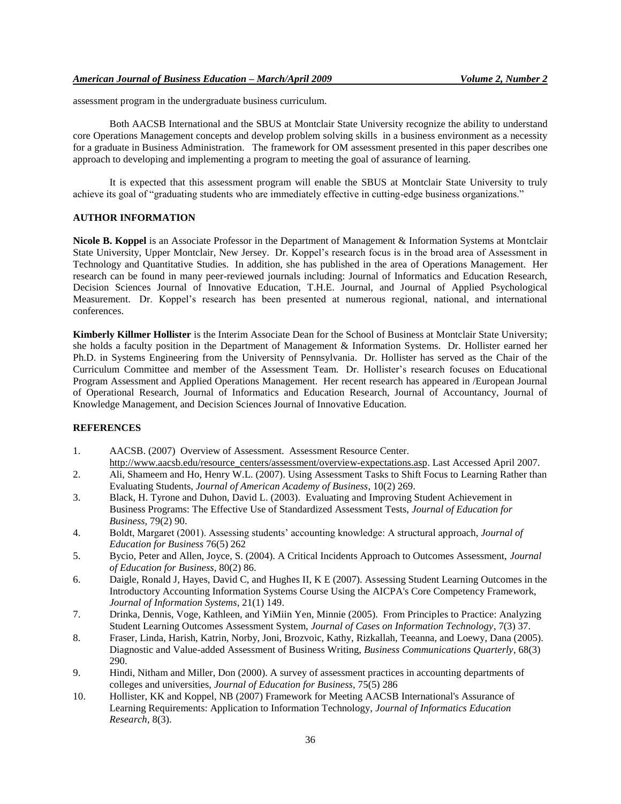assessment program in the undergraduate business curriculum.

Both AACSB International and the SBUS at Montclair State University recognize the ability to understand core Operations Management concepts and develop problem solving skills in a business environment as a necessity for a graduate in Business Administration. The framework for OM assessment presented in this paper describes one approach to developing and implementing a program to meeting the goal of assurance of learning.

It is expected that this assessment program will enable the SBUS at Montclair State University to truly achieve its goal of "graduating students who are immediately effective in cutting-edge business organizations."

# **AUTHOR INFORMATION**

**Nicole B. Koppel** is an Associate Professor in the Department of Management & Information Systems at Montclair State University, Upper Montclair, New Jersey. Dr. Koppel's research focus is in the broad area of Assessment in Technology and Quantitative Studies. In addition, she has published in the area of Operations Management. Her research can be found in many peer-reviewed journals including: Journal of Informatics and Education Research, Decision Sciences Journal of Innovative Education, T.H.E. Journal, and Journal of Applied Psychological Measurement. Dr. Koppel's research has been presented at numerous regional, national, and international conferences.

**Kimberly Killmer Hollister** is the Interim Associate Dean for the School of Business at Montclair State University; she holds a faculty position in the Department of Management & Information Systems. Dr. Hollister earned her Ph.D. in Systems Engineering from the University of Pennsylvania. Dr. Hollister has served as the Chair of the Curriculum Committee and member of the Assessment Team. Dr. Hollister's research focuses on Educational Program Assessment and Applied Operations Management. Her recent research has appeared in /European Journal of Operational Research, Journal of Informatics and Education Research, Journal of Accountancy, Journal of Knowledge Management, and Decision Sciences Journal of Innovative Education.

# **REFERENCES**

- 1. AACSB. (2007) Overview of Assessment. Assessment Resource Center. http://www.aacsb.edu/resource\_centers/assessment/overview-expectations.asp. Last Accessed April 2007.
- 2. Ali, Shameem and Ho, Henry W.L. (2007). Using Assessment Tasks to Shift Focus to Learning Rather than Evaluating Students, *Journal of American Academy of Business*, 10(2) 269.
- 3. Black, H. Tyrone and Duhon, David L. (2003). Evaluating and Improving Student Achievement in Business Programs: The Effective Use of Standardized Assessment Tests, *Journal of Education for Business*, 79(2) 90.
- 4. Boldt, Margaret (2001). Assessing students' accounting knowledge: A structural approach, *Journal of Education for Business* 76(5) 262
- 5. Bycio, Peter and Allen, Joyce, S. (2004). A Critical Incidents Approach to Outcomes Assessment, *Journal of Education for Business*, 80(2) 86.
- 6. Daigle, Ronald J, Hayes, David C, and Hughes II, K E (2007). Assessing Student Learning Outcomes in the Introductory Accounting Information Systems Course Using the AICPA's Core Competency Framework, *Journal of Information Systems*, 21(1) 149.
- 7. Drinka, Dennis, Voge, Kathleen, and YiMiin Yen, Minnie (2005). From Principles to Practice: Analyzing Student Learning Outcomes Assessment System, *Journal of Cases on Information Technology*, 7(3) 37.
- 8. Fraser, Linda, Harish, Katrin, Norby, Joni, Brozvoic, Kathy, Rizkallah, Teeanna, and Loewy, Dana (2005). Diagnostic and Value-added Assessment of Business Writing, *Business Communications Quarterly*, 68(3) 290.
- 9. Hindi, Nitham and Miller, Don (2000). A survey of assessment practices in accounting departments of colleges and universities, *Journal of Education for Business*, 75(5) 286
- 10. Hollister, KK and Koppel, NB (2007) Framework for Meeting AACSB International's Assurance of Learning Requirements: Application to Information Technology, *Journal of Informatics Education Research*, 8(3).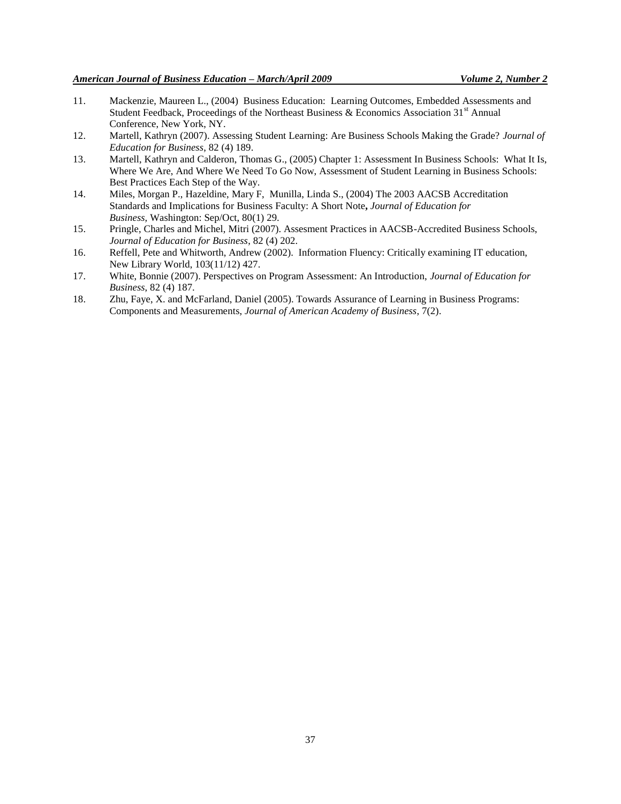- 11. Mackenzie, Maureen L., (2004) Business Education: Learning Outcomes, Embedded Assessments and Student Feedback, Proceedings of the Northeast Business & Economics Association 31<sup>st</sup> Annual Conference, New York, NY.
- 12. Martell, Kathryn (2007). Assessing Student Learning: Are Business Schools Making the Grade? *Journal of Education for Business*, 82 (4) 189.
- 13. Martell, Kathryn and Calderon, Thomas G., (2005) Chapter 1: Assessment In Business Schools: What It Is, Where We Are, And Where We Need To Go Now, Assessment of Student Learning in Business Schools: Best Practices Each Step of the Way.
- 14. Miles, [Morgan P., H](javascript:void(0);)azeldine, [Mary F,](javascript:void(0);) Munilla, [Linda S.,](javascript:void(0);) (2004) The 2003 AACSB Accreditation Standards and Implications for Business Faculty: A Short Note**,** *[Journal of Education for](http://proquest.umi.com.ezproxy.montclair.edu:2048/pqdweb?RQT=318&pmid=28527&TS=1117122748&clientId=8606&VType=PQD&VName=PQD&VInst=PROD)  [Business,](http://proquest.umi.com.ezproxy.montclair.edu:2048/pqdweb?RQT=318&pmid=28527&TS=1117122748&clientId=8606&VType=PQD&VName=PQD&VInst=PROD)* Washington: Sep/Oct, 80(1) 29.
- 15. Pringle, Charles and Michel, Mitri (2007). Assesment Practices in AACSB-Accredited Business Schools, *Journal of Education for Business*, 82 (4) 202.
- 16. Reffell, Pete and Whitworth, Andrew (2002). Information Fluency: Critically examining IT education, New Library World, 103(11/12) 427.
- 17. White, Bonnie (2007). Perspectives on Program Assessment: An Introduction, *Journal of Education for Business*, 82 (4) 187.
- 18. Zhu, Faye, X. and McFarland, Daniel (2005). Towards Assurance of Learning in Business Programs: Components and Measurements, *Journal of American Academy of Business*, 7(2).